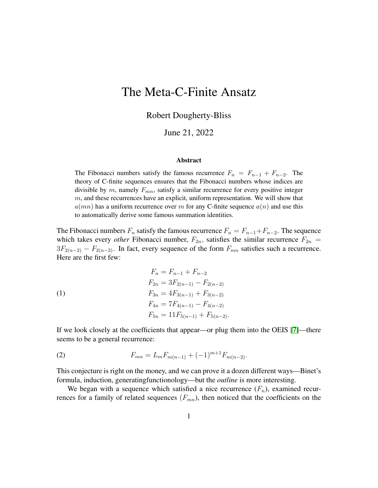# The Meta-C-Finite Ansatz

Robert Dougherty-Bliss

June 21, 2022

#### Abstract

The Fibonacci numbers satisfy the famous recurrence  $F_n = F_{n-1} + F_{n-2}$ . The theory of C-finite sequences ensures that the Fibonacci numbers whose indices are divisible by  $m$ , namely  $F_{mn}$ , satisfy a similar recurrence for every positive integer m, and these recurrences have an explicit, uniform representation. We will show that  $a(mn)$  has a uniform recurrence over m for any C-finite sequence  $a(n)$  and use this to automatically derive some famous summation identities.

The Fibonacci numbers  $F_n$  satisfy the famous recurrence  $F_n = F_{n-1} + F_{n-2}$ . The sequence which takes every *other* Fibonacci number,  $F_{2n}$ , satisfies the similar recurrence  $F_{2n}$  =  $3F_{2(n-2)} - F_{2(n-2)}$ . In fact, every sequence of the form  $F_{mn}$  satisfies such a recurrence. Here are the first few:

<span id="page-0-1"></span>(1)  
\n
$$
F_n = F_{n-1} + F_{n-2}
$$
\n
$$
F_{2n} = 3F_{2(n-1)} - F_{2(n-2)}
$$
\n
$$
F_{3n} = 4F_{3(n-1)} + F_{3(n-2)}
$$
\n
$$
F_{4n} = 7F_{4(n-1)} - F_{4(n-2)}
$$
\n
$$
F_{5n} = 11F_{5(n-1)} + F_{5(n-2)}.
$$

If we look closely at the coefficients that appear—or plug them into the OEIS [\[7\]](#page-10-0)—there seems to be a general recurrence:

<span id="page-0-0"></span>(2) 
$$
F_{mn} = L_m F_{m(n-1)} + (-1)^{m+1} F_{m(n-2)}.
$$

This conjecture is right on the money, and we can prove it a dozen different ways—Binet's formula, induction, generatingfunctionology—but the *outline* is more interesting.

We began with a sequence which satisfied a nice recurrence  $(F_n)$ , examined recurrences for a family of related sequences  $(F_{mn})$ , then noticed that the coefficients on the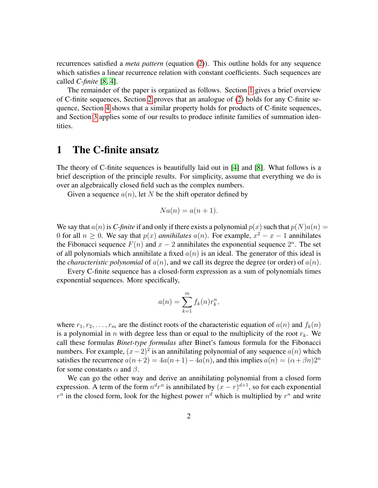recurrences satisfied a *meta pattern* (equation [\(2\)](#page-0-0)). This outline holds for any sequence which satisfies a linear recurrence relation with constant coefficients. Such sequences are called *C-finite* [\[8,](#page-10-1) [4\]](#page-10-2).

The remainder of the paper is organized as follows. Section [1](#page-1-0) gives a brief overview of C-finite sequences, Section [2](#page-2-0) proves that an analogue of [\(2\)](#page-0-0) holds for any C-finite sequence, Section [4](#page-6-0) shows that a similar property holds for products of C-finite sequences, and Section [3](#page-5-0) applies some of our results to produce infinite families of summation identities.

#### <span id="page-1-0"></span>1 The C-finite ansatz

The theory of C-finite sequences is beautifully laid out in [\[4\]](#page-10-2) and [\[8\]](#page-10-1). What follows is a brief description of the principle results. For simplicity, assume that everything we do is over an algebraically closed field such as the complex numbers.

Given a sequence  $a(n)$ , let N be the shift operator defined by

$$
Na(n) = a(n+1).
$$

We say that  $a(n)$  is *C*-finite if and only if there exists a polynomial  $p(x)$  such that  $p(N)a(n) =$ 0 for all  $n \ge 0$ . We say that  $p(x)$  *annihilates*  $a(n)$ . For example,  $x^2 - x - 1$  annihilates the Fibonacci sequence  $F(n)$  and  $x - 2$  annihilates the exponential sequence  $2^n$ . The set of all polynomials which annihilate a fixed  $a(n)$  is an ideal. The generator of this ideal is the *characteristic polynomial* of  $a(n)$ , and we call its degree the degree (or order) of  $a(n)$ .

Every C-finite sequence has a closed-form expression as a sum of polynomials times exponential sequences. More specifically,

$$
a(n) = \sum_{k=1}^{m} f_k(n) r_k^n,
$$

where  $r_1, r_2, \ldots, r_m$  are the distinct roots of the characteristic equation of  $a(n)$  and  $f_k(n)$ is a polynomial in n with degree less than or equal to the multiplicity of the root  $r_k$ . We call these formulas *Binet-type formulas* after Binet's famous formula for the Fibonacci numbers. For example,  $(x-2)^2$  is an annihilating polynomial of any sequence  $a(n)$  which satisfies the recurrence  $a(n+2) = 4a(n+1)-4a(n)$ , and this implies  $a(n) = (\alpha + \beta n)2^n$ for some constants  $\alpha$  and  $\beta$ .

We can go the other way and derive an annihilating polynomial from a closed form expression. A term of the form  $n^d r^n$  is annihilated by  $(x - r)^{d+1}$ , so for each exponential  $r^n$  in the closed form, look for the highest power  $n^d$  which is multiplied by  $r^n$  and write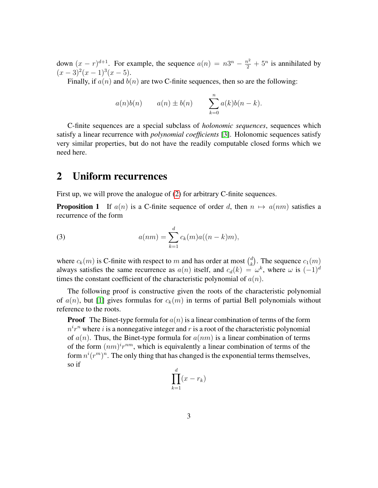down  $(x - r)^{d+1}$ . For example, the sequence  $a(n) = n3^n - \frac{n^2}{2} + 5^n$  is annihilated by  $(x-3)^2(x-1)^3(x-5)$ .

Finally, if  $a(n)$  and  $b(n)$  are two C-finite sequences, then so are the following:

$$
a(n)b(n) \qquad a(n) \pm b(n) \qquad \sum_{k=0}^{n} a(k)b(n-k).
$$

C-finite sequences are a special subclass of *holonomic sequences*, sequences which satisfy a linear recurrence with *polynomial coefficients* [\[3\]](#page-10-3). Holonomic sequences satisfy very similar properties, but do not have the readily computable closed forms which we need here.

#### <span id="page-2-0"></span>2 Uniform recurrences

First up, we will prove the analogue of [\(2\)](#page-0-0) for arbitrary C-finite sequences.

<span id="page-2-1"></span>**Proposition 1** If  $a(n)$  is a C-finite sequence of order d, then  $n \mapsto a(nm)$  satisfies a recurrence of the form

(3) 
$$
a(nm) = \sum_{k=1}^{d} c_k(m)a((n-k)m),
$$

where  $c_k(m)$  is C-finite with respect to m and has order at most  $\binom{d}{k}$  $k$ ). The sequence  $c_1(m)$ always satisfies the same recurrence as  $a(n)$  itself, and  $c_d(k) = \omega^k$ , where  $\omega$  is  $(-1)^d$ times the constant coefficient of the characteristic polynomial of  $a(n)$ .

The following proof is constructive given the roots of the characteristic polynomial of  $a(n)$ , but [\[1\]](#page-10-4) gives formulas for  $c_k(m)$  in terms of partial Bell polynomials without reference to the roots.

**Proof** The Binet-type formula for  $a(n)$  is a linear combination of terms of the form  $n^i r^n$  where i is a nonnegative integer and r is a root of the characteristic polynomial of  $a(n)$ . Thus, the Binet-type formula for  $a(nm)$  is a linear combination of terms of the form  $(nm)^{i}r^{nm}$ , which is equivalently a linear combination of terms of the form  $n^{i}(r^{m})^{n}$ . The only thing that has changed is the exponential terms themselves, so if

$$
\prod_{k=1}^d (x - r_k)
$$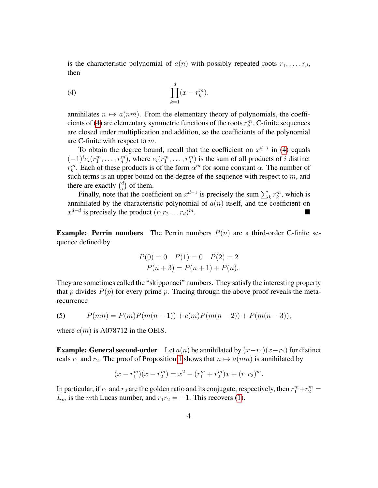is the characteristic polynomial of  $a(n)$  with possibly repeated roots  $r_1, \ldots, r_d$ , then

<span id="page-3-0"></span>
$$
(4) \qquad \prod_{k=1}^d (x - r_k^m).
$$

annihilates  $n \mapsto a(nm)$ . From the elementary theory of polynomials, the coeffi-cients of [\(4\)](#page-3-0) are elementary symmetric functions of the roots  $r_k^m$ . C-finite sequences are closed under multiplication and addition, so the coefficients of the polynomial are C-finite with respect to m.

To obtain the degree bound, recall that the coefficient on  $x^{d-i}$  in [\(4\)](#page-3-0) equals  $(-1)^{i}e_i(r_1^m,\ldots,r_d^m)$ , where  $e_i(r_1^m,\ldots,r_d^m)$  is the sum of all products of i distinct  $r_k^m$ . Each of these products is of the form  $\alpha^m$  for some constant  $\alpha$ . The number of such terms is an upper bound on the degree of the sequence with respect to  $m$ , and there are exactly  $\binom{d}{i}$  $\binom{d}{i}$  of them.

Finally, note that the coefficient on  $x^{d-1}$  is precisely the sum  $\sum_{k} r_k^m$ , which is annihilated by the characteristic polynomial of  $a(n)$  itself, and the coefficient on  $x^{d-d}$  is precisely the product  $(r_1r_2 \ldots r_d)$  $m$ .

**Example: Perrin numbers** The Perrin numbers  $P(n)$  are a third-order C-finite sequence defined by

$$
P(0) = 0 \quad P(1) = 0 \quad P(2) = 2
$$

$$
P(n+3) = P(n+1) + P(n).
$$

They are sometimes called the "skipponaci" numbers. They satisfy the interesting property that p divides  $P(p)$  for every prime p. Tracing through the above proof reveals the metarecurrence

<span id="page-3-1"></span>(5) 
$$
P(mn) = P(m)P(m(n-1)) + c(m)P(m(n-2)) + P(m(n-3)),
$$

where  $c(m)$  is A078712 in the OEIS.

**Example: General second-order** Let  $a(n)$  be annihilated by  $(x-r_1)(x-r_2)$  for distinct reals  $r_1$  and  $r_2$ . The proof of Proposition [1](#page-2-1) shows that  $n \mapsto a(mn)$  is annihilated by

$$
(x - r_1^m)(x - r_2^m) = x^2 - (r_1^m + r_2^m)x + (r_1r_2)^m.
$$

In particular, if  $r_1$  and  $r_2$  are the golden ratio and its conjugate, respectively, then  $r_1^m + r_2^m =$  $L_m$  is the mth Lucas number, and  $r_1r_2 = -1$ . This recovers [\(1\)](#page-0-1).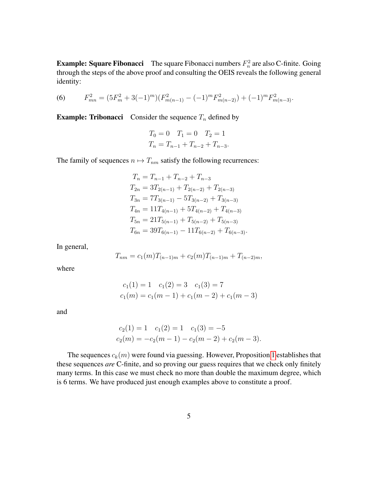**Example: Square Fibonacci** The square Fibonacci numbers  $F_n^2$  are also C-finite. Going through the steps of the above proof and consulting the OEIS reveals the following general identity:

<span id="page-4-0"></span>(6) 
$$
F_{mn}^2 = (5F_m^2 + 3(-1)^m)(F_{m(n-1)}^2 - (-1)^m F_{m(n-2)}^2) + (-1)^m F_{m(n-3)}^2.
$$

**Example: Tribonacci** Consider the sequence  $T_n$  defined by

$$
T_0 = 0 \quad T_1 = 0 \quad T_2 = 1
$$
  

$$
T_n = T_{n-1} + T_{n-2} + T_{n-3}.
$$

The family of sequences  $n \mapsto T_{nm}$  satisfy the following recurrences:

$$
T_n = T_{n-1} + T_{n-2} + T_{n-3}
$$
  
\n
$$
T_{2n} = 3T_{2(n-1)} + T_{2(n-2)} + T_{2(n-3)}
$$
  
\n
$$
T_{3n} = 7T_{3(n-1)} - 5T_{3(n-2)} + T_{3(n-3)}
$$
  
\n
$$
T_{4n} = 11T_{4(n-1)} + 5T_{4(n-2)} + T_{4(n-3)}
$$
  
\n
$$
T_{5n} = 21T_{5(n-1)} + T_{5(n-2)} + T_{5(n-3)}
$$
  
\n
$$
T_{6n} = 39T_{6(n-1)} - 11T_{6(n-2)} + T_{6(n-3)}.
$$

In general,

$$
T_{nm} = c_1(m)T_{(n-1)m} + c_2(m)T_{(n-1)m} + T_{(n-2)m},
$$

where

and

$$
c_1(m) = c_1(m-1) + c_1(m-2) + c_1(m-3)
$$

 $c_1(1) = 1$   $c_1(2) = 3$   $c_1(3) = 7$ 

$$
c_2(1) = 1 \quad c_1(2) = 1 \quad c_1(3) = -5
$$
  

$$
c_2(m) = -c_2(m-1) - c_2(m-2) + c_2(m-3).
$$

The sequences  $c_k(m)$  were found via guessing. However, Proposition [1](#page-2-1) establishes that these sequences *are* C-finite, and so proving our guess requires that we check only finitely many terms. In this case we must check no more than double the maximum degree, which is 6 terms. We have produced just enough examples above to constitute a proof.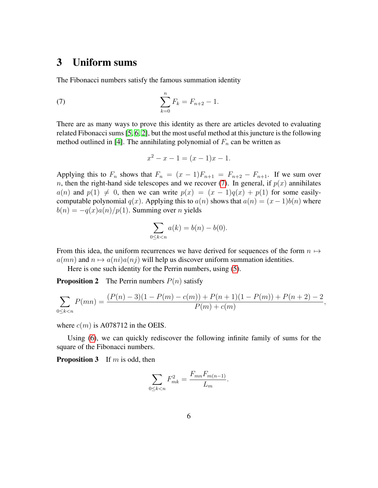#### <span id="page-5-0"></span>3 Uniform sums

The Fibonacci numbers satisfy the famous summation identity

(7) 
$$
\sum_{k=0}^{n} F_k = F_{n+2} - 1.
$$

There are as many ways to prove this identity as there are articles devoted to evaluating related Fibonacci sums [\[5,](#page-10-5) [6,](#page-10-6) [2\]](#page-10-7), but the most useful method at this juncture is the following method outlined in [\[4\]](#page-10-2). The annihilating polynomial of  $F_n$  can be written as

<span id="page-5-1"></span>
$$
x^2 - x - 1 = (x - 1)x - 1.
$$

Applying this to  $F_n$  shows that  $F_n = (x - 1)F_{n+1} = F_{n+2} - F_{n+1}$ . If we sum over n, then the right-hand side telescopes and we recover [\(7\)](#page-5-1). In general, if  $p(x)$  annihilates  $a(n)$  and  $p(1) \neq 0$ , then we can write  $p(x) = (x - 1)q(x) + p(1)$  for some easilycomputable polynomial  $q(x)$ . Applying this to  $a(n)$  shows that  $a(n) = (x - 1)b(n)$  where  $b(n) = -q(x)a(n)/p(1)$ . Summing over *n* yields

$$
\sum_{0 \le k < n} a(k) = b(n) - b(0).
$$

From this idea, the uniform recurrences we have derived for sequences of the form  $n \mapsto$  $a(mn)$  and  $n \mapsto a(ni)a(nj)$  will help us discover uniform summation identities.

Here is one such identity for the Perrin numbers, using [\(5\)](#page-3-1).

**Proposition 2** The Perrin numbers  $P(n)$  satisfy

$$
\sum_{0 \le k < n} P(mn) = \frac{(P(n) - 3)(1 - P(m) - c(m)) + P(n+1)(1 - P(m)) + P(n+2) - 2}{P(m) + c(m)},
$$

where  $c(m)$  is A078712 in the OEIS.

Using [\(6\)](#page-4-0), we can quickly rediscover the following infinite family of sums for the square of the Fibonacci numbers.

<span id="page-5-2"></span>**Proposition 3** If m is odd, then

$$
\sum_{0\leq k < n} F_{mk}^2 = \frac{F_{mn} F_{m(n-1)}}{L_m}.
$$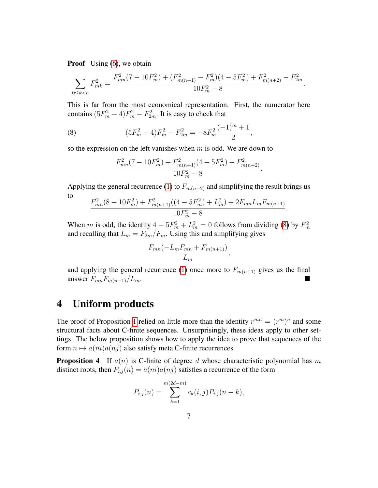**Proof** Using [\(6\)](#page-4-0), we obtain

$$
\sum_{0 \le k < n} F_{mk}^2 = \frac{F_{mn}^2 (7 - 10F_m^2) + (F_{m(n+1)}^2 - F_m^2)(4 - 5F_m^2) + F_{m(n+2)}^2 - F_{2m}^2}{10F_m^2 - 8}.
$$

This is far from the most economical representation. First, the numerator here contains  $(5F_m^2 - 4)F_m^2 - F_{2m}^2$ . It is easy to check that

(8) 
$$
(5F_m^2 - 4)F_m^2 - F_{2m}^2 = -8F_m^2\frac{(-1)^m + 1}{2},
$$

so the expression on the left vanishes when  $m$  is odd. We are down to

<span id="page-6-1"></span>
$$
\frac{F_{mn}^2(7 - 10F_m^2) + F_{m(n+1)}^2(4 - 5F_m^2) + F_{m(n+2)}^2}{10F_m^2 - 8}.
$$

Applying the general recurrence [\(1\)](#page-0-1) to  $F_{m(n+2)}$  and simplifying the result brings us to

$$
\frac{F_{mn}^2(8-10F_m^2)+F_{m(n+1)}^2((4-5F_m^2)+L_m^2)+2F_{mn}L_mF_{m(n+1)}}{10F_m^2-8}.
$$

When m is odd, the identity  $4 - 5F_m^2 + L_m^2 = 0$  follows from dividing [\(8\)](#page-6-1) by  $F_m^2$ and recalling that  $L_m = F_{2m}/F_m$ . Using this and simplifying gives

$$
\frac{F_{mn}(-L_m F_{mn} + F_{m(n+1)})}{L_m},
$$

and applying the general recurrence [\(1\)](#page-0-1) once more to  $F_{m(n+1)}$  gives us the final answer  $F_{mn}F_{m(n-1)}/L_m$ .

## <span id="page-6-0"></span>4 Uniform products

The proof of Proposition [1](#page-2-1) relied on little more than the identity  $r^{mn} = (r^m)^n$  and some structural facts about C-finite sequences. Unsurprisingly, these ideas apply to other settings. The below proposition shows how to apply the idea to prove that sequences of the form  $n \mapsto a(ni)a(nj)$  also satisfy meta C-finite recurrences.

**Proposition 4** If  $a(n)$  is C-finite of degree d whose characteristic polynomial has m distinct roots, then  $P_{i,j}(n) = a(ni)a(nj)$  satisfies a recurrence of the form

$$
P_{i,j}(n) = \sum_{k=1}^{m(2d-m)} c_k(i,j) P_{i,j}(n-k),
$$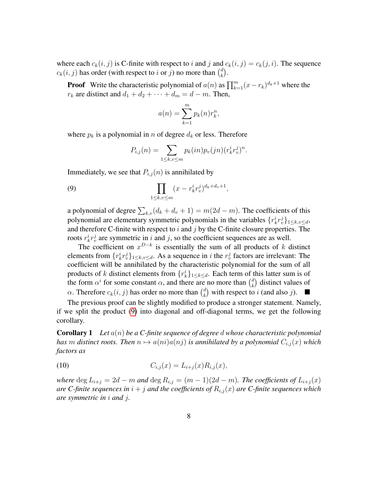where each  $c_k(i, j)$  is C-finite with respect to i and j and  $c_k(i, j) = c_k(j, i)$ . The sequence  $c_k(i, j)$  has order (with respect to i or j) no more than  $\binom{d}{k}$  $\binom{d}{k}$ .

**Proof** Write the characteristic polynomial of  $a(n)$  as  $\prod_{k=1}^{m} (x - r_k)^{d_k + 1}$  where the  $r_k$  are distinct and  $d_1 + d_2 + \cdots + d_m = d - m$ . Then,

$$
a(n) = \sum_{k=1}^{m} p_k(n) r_k^n,
$$

where  $p_k$  is a polynomial in n of degree  $d_k$  or less. Therefore

<span id="page-7-0"></span>
$$
P_{i,j}(n) = \sum_{1 \leq k, v \leq m} p_k(in)p_v(jn)(r_k^i r_v^j)^n.
$$

Immediately, we see that  $P_{i,j}(n)$  is annihilated by

(9) 
$$
\prod_{1 \le k, v \le m} (x - r_k^i r_v^j)^{d_k + d_v + 1},
$$

a polynomial of degree  $\sum_{k,v} (d_k + d_v + 1) = m(2d - m)$ . The coefficients of this polynomial are elementary symmetric polynomials in the variables  $\{r_k^i r_v^j\}_{1 \leq k, v \leq d}$ , and therefore C-finite with respect to  $i$  and  $j$  by the C-finite closure properties. The roots  $r_k^i r_v^j$  are symmetric in i and j, so the coefficient sequences are as well.

The coefficient on  $x^{D-k}$  is essentially the sum of all products of k distinct elements from  $\{r_k^i r_v^j\}_{1 \leq k, v \leq d}$ . As a sequence in *i* the  $r_v^j$  factors are irrelevant: The coefficient will be annihilated by the characteristic polynomial for the sum of all products of k distinct elements from  $\{r_k^i\}_{1 \leq k \leq d}$ . Each term of this latter sum is of the form  $\alpha^{i}$  for some constant  $\alpha$ , and there are no more than  $\binom{d}{k}$  $\binom{d}{k}$  distinct values of  $\alpha$ . Therefore  $c_k(i, j)$  has order no more than  $\binom{d}{k}$  ${k \choose k}$  with respect to i (and also j).

The previous proof can be slightly modified to produce a stronger statement. Namely, if we split the product [\(9\)](#page-7-0) into diagonal and off-diagonal terms, we get the following corollary.

Corollary 1 *Let* a(n) *be a C-finite sequence of degree* d *whose characteristic polynomial has* m distinct roots. Then  $n \mapsto a(ni)a(nj)$  is annihilated by a polynomial  $C_{i,j}(x)$  which *factors as*

(10) 
$$
C_{i,j}(x) = L_{i+j}(x)R_{i,j}(x),
$$

*where* deg  $L_{i+j} = 2d - m$  *and* deg  $R_{i,j} = (m-1)(2d - m)$ *. The coefficients of*  $L_{i+j}(x)$ *are C-finite sequences in*  $i + j$  *and the coefficients of*  $R_{i,j}(x)$  *are C-finite sequences which are symmetric in* i *and* j*.*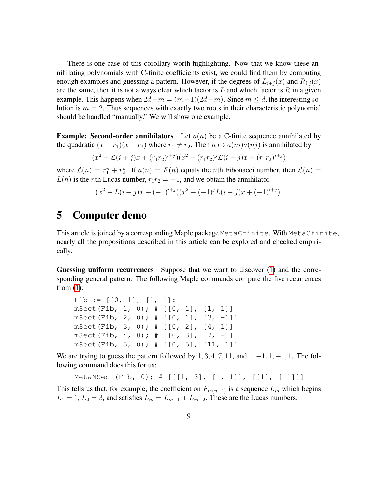There is one case of this corollary worth highlighting. Now that we know these annihilating polynomials with C-finite coefficients exist, we could find them by computing enough examples and guessing a pattern. However, if the degrees of  $L_{i+j}(x)$  and  $R_{i,j}(x)$ are the same, then it is not always clear which factor is  $L$  and which factor is  $R$  in a given example. This happens when  $2d-m = (m-1)(2d-m)$ . Since  $m \le d$ , the interesting solution is  $m = 2$ . Thus sequences with exactly two roots in their characteristic polynomial should be handled "manually." We will show one example.

**Example: Second-order annihilators** Let  $a(n)$  be a C-finite sequence annihilated by the quadratic  $(x - r_1)(x - r_2)$  where  $r_1 \neq r_2$ . Then  $n \mapsto a(ni)a(nj)$  is annihilated by

$$
(x^{2} - \mathcal{L}(i + j)x + (r_{1}r_{2})^{i+j})(x^{2} - (r_{1}r_{2})^{j}\mathcal{L}(i - j)x + (r_{1}r_{2})^{i+j})
$$

where  $\mathcal{L}(n) = r_1^n + r_2^n$ . If  $a(n) = F(n)$  equals the *n*th Fibonacci number, then  $\mathcal{L}(n) =$  $L(n)$  is the nth Lucas number,  $r_1r_2 = -1$ , and we obtain the annihilator

$$
(x^{2} - L(i + j)x + (-1)^{i+j})(x^{2} - (-1)^{j}L(i - j)x + (-1)^{i+j}).
$$

#### 5 Computer demo

This article is joined by a corresponding Maple package MetaCfinite. With MetaCfinite, nearly all the propositions described in this article can be explored and checked empirically.

Guessing uniform recurrences Suppose that we want to discover [\(1\)](#page-0-1) and the corresponding general pattern. The following Maple commands compute the five recurrences from  $(1)$ :

```
Fib := [0, 1], [1, 1]:
mSect(Fib, 1, 0); # [[0, 1], [1, 1]]
mSect(Fib, 2, 0); \# [[0, 1], [3, -1]]
mSect(Fib, 3, 0); # [[0, 2], [4, 1]]
mSect(Fib, 4, 0); \# [[0, 3], [7, -1]]
mSect(Fib, 5, 0); # [[0, 5], [11, 1]]
```
We are trying to guess the pattern followed by  $1, 3, 4, 7, 11$ , and  $1, -1, 1, -1, 1$ . The following command does this for us:

```
MetaMSect(Fib, 0); # [[[1, 3], [1, 1]], [[1], [-1]]]
```
This tells us that, for example, the coefficient on  $F_{m(n-1)}$  is a sequence  $L_m$  which begins  $L_1 = 1, L_2 = 3$ , and satisfies  $L_m = L_{m-1} + L_{m-2}$ . These are the Lucas numbers.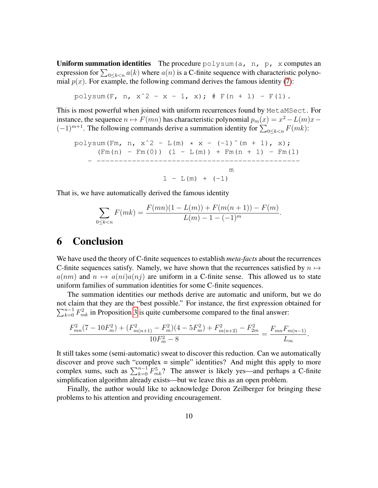**Uniform summation identities** The procedure  $\text{polysum}(a, n, p, x)$  computes an expression for  $\sum_{0 \le k < n} a(k)$  where  $a(n)$  is a C-finite sequence with characteristic polynomial  $p(x)$ . For example, the following command derives the famous identity [\(7\)](#page-5-1):

polysum(F, n,  $x^2 - x - 1$ , x);  $\#$  F(n + 1) - F(1).

This is most powerful when joined with uniform recurrences found by MetaMSect. For instance, the sequence  $n \mapsto F(mn)$  has characteristic polynomial  $p_m(x) = x^2 - L(m)x$  $(-1)^{m+1}$ . The following commands derive a summation identity for  $\sum_{0 \le k < n} F(mk)$ :

polysum(Fm, n, xˆ2 - L(m) \* x - (-1)ˆ(m + 1), x); (Fm(n) - Fm(0)) (1 - L(m)) + Fm(n + 1) - Fm(1) - --------------------------------------------- m 1 - L(m) + (-1)

That is, we have automatically derived the famous identity

$$
\sum_{0 \le k < n} F(mk) = \frac{F(mn)(1 - L(m)) + F(m(n+1)) - F(m)}{L(m) - 1 - (-1)^m}
$$

.

#### 6 Conclusion

We have used the theory of C-finite sequences to establish *meta-facts* about the recurrences C-finite sequences satisfy. Namely, we have shown that the recurrences satisfied by  $n \mapsto$  $a(nm)$  and  $n \mapsto a(ni)a(nj)$  are uniform in a C-finite sense. This allowed us to state uniform families of summation identities for some C-finite sequences.

The summation identities our methods derive are automatic and uniform, but we do not claim that they are the "best possible." For instance, the first expression obtained for  $\sum_{k=0}^{n-1} F_{mk}^2$  in Proposition [3](#page-5-2) is quite cumbersome compared to the final answer:

$$
\frac{F_{mn}^2(7-10F_m^2)+(F_{m(n+1)}^2-F_m^2)(4-5F_m^2)+F_{m(n+2)}^2-F_{2m}^2}{10F_m^2-8}=\frac{F_{mn}F_{m(n-1)}}{L_m}.
$$

It still takes some (semi-automatic) sweat to discover this reduction. Can we automatically discover and prove such "complex = simple" identities? And might this apply to more complex sums, such as  $\sum_{k=0}^{n-1} F_{mk}^5$ ? The answer is likely yes—and perhaps a C-finite simplification algorithm already exists—but we leave this as an open problem.

Finally, the author would like to acknowledge Doron Zeilberger for bringing these problems to his attention and providing encouragement.